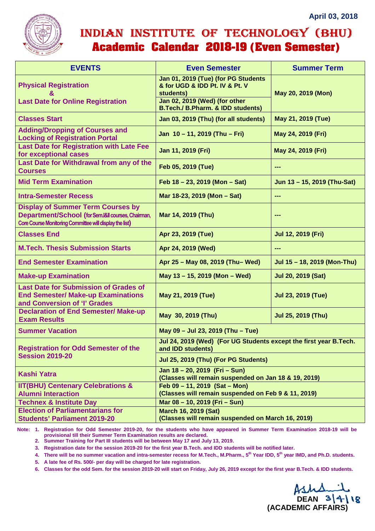

## INDIAN INSTITUTE OF TECHNOLOGY (BHU) **Academic Calendar 2018-19 (Even Semester)**

| <b>EVENTS</b>                                                                                                                                             | <b>Even Semester</b>                                                                   | <b>Summer Term</b>          |
|-----------------------------------------------------------------------------------------------------------------------------------------------------------|----------------------------------------------------------------------------------------|-----------------------------|
| <b>Physical Registration</b>                                                                                                                              | Jan 01, 2019 (Tue) (for PG Students<br>& for UGD & IDD Pt. IV & Pt. V<br>students)     | May 20, 2019 (Mon)          |
| <b>Last Date for Online Registration</b>                                                                                                                  | Jan 02, 2019 (Wed) (for other<br><b>B.Tech./ B.Pharm. &amp; IDD students)</b>          |                             |
| <b>Classes Start</b>                                                                                                                                      | Jan 03, 2019 (Thu) (for all students)                                                  | May 21, 2019 (Tue)          |
| <b>Adding/Dropping of Courses and</b><br><b>Locking of Registration Portal</b>                                                                            | Jan 10 - 11, 2019 (Thu - Fri)                                                          | May 24, 2019 (Fri)          |
| <b>Last Date for Registration with Late Fee</b><br>for exceptional cases                                                                                  | Jan 11, 2019 (Fri)                                                                     | May 24, 2019 (Fri)          |
| Last Date for Withdrawal from any of the<br><b>Courses</b>                                                                                                | Feb 05, 2019 (Tue)                                                                     | ---                         |
| <b>Mid Term Examination</b>                                                                                                                               | Feb $18 - 23$ , 2019 (Mon - Sat)                                                       | Jun 13 - 15, 2019 (Thu-Sat) |
| <b>Intra-Semester Recess</b>                                                                                                                              | Mar 18-23, 2019 (Mon - Sat)                                                            | ---                         |
| <b>Display of Summer Term Courses by</b><br>Department/School (for Sem.I&II courses, Chairman,<br>Core Course Monitoring Committee will display the list) | Mar 14, 2019 (Thu)                                                                     | ---                         |
| <b>Classes End</b>                                                                                                                                        | Apr 23, 2019 (Tue)                                                                     | <b>Jul 12, 2019 (Fri)</b>   |
| <b>M.Tech. Thesis Submission Starts</b>                                                                                                                   | Apr 24, 2019 (Wed)                                                                     | ---                         |
| <b>End Semester Examination</b>                                                                                                                           | Apr 25 - May 08, 2019 (Thu-Wed)                                                        | Jul 15 - 18, 2019 (Mon-Thu) |
| <b>Make-up Examination</b>                                                                                                                                | May 13 - 15, 2019 (Mon - Wed)                                                          | Jul 20, 2019 (Sat)          |
| <b>Last Date for Submission of Grades of</b><br><b>End Semester/ Make-up Examinations</b><br>and Conversion of 'I' Grades                                 | May 21, 2019 (Tue)                                                                     | <b>Jul 23, 2019 (Tue)</b>   |
| <b>Declaration of End Semester/ Make-up</b><br><b>Exam Results</b>                                                                                        | May 30, 2019 (Thu)                                                                     | <b>Jul 25, 2019 (Thu)</b>   |
| <b>Summer Vacation</b>                                                                                                                                    | May 09 - Jul 23, 2019 (Thu - Tue)                                                      |                             |
| <b>Registration for Odd Semester of the</b><br><b>Session 2019-20</b>                                                                                     | Jul 24, 2019 (Wed) (For UG Students except the first year B.Tech.<br>and IDD students) |                             |
|                                                                                                                                                           | Jul 25, 2019 (Thu) (For PG Students)                                                   |                             |
| <b>Kashi Yatra</b>                                                                                                                                        | Jan 18 - 20, 2019 (Fri - Sun)<br>(Classes will remain suspended on Jan 18 & 19, 2019)  |                             |
| <b>IIT(BHU) Centenary Celebrations &amp;</b><br><b>Alumni Interaction</b>                                                                                 | Feb 09 - 11, 2019 (Sat - Mon)<br>(Classes will remain suspended on Feb 9 & 11, 2019)   |                             |
| <b>Technex &amp; Institute Day</b>                                                                                                                        | Mar 08 - 10, 2019 (Fri - Sun)                                                          |                             |
| <b>Election of Parliamentarians for</b><br><b>Students' Parliament 2019-20</b>                                                                            | <b>March 16, 2019 (Sat)</b><br>(Classes will remain suspended on March 16, 2019)       |                             |
|                                                                                                                                                           |                                                                                        |                             |

**Note: 1. Registration for Odd Semester 2019-20, for the students who have appeared in Summer Term Examination 2018-19 will be provisional till their Summer Term Examination results are declared.** 

**2. Summer Training for Part III students will be between May 17 and July 13, 2019.** 

**3. Registration date for the session 2019-20 for the first year B.Tech. and IDD students will be notified later.** 

**4. There will be no summer vacation and intra-semester recess for M.Tech., M.Pharm., 5th Year IDD, 5th year IMD, and Ph.D. students.** 

**5. A late fee of Rs. 500/- per day will be charged for late registration.** 

**6. Classes for the odd Sem. for the session 2019-20 will start on Friday, July 26, 2019 except for the first year B.Tech. & IDD students.** 

Ash 14/18 **(ACADEMIC AFFAIRS)**